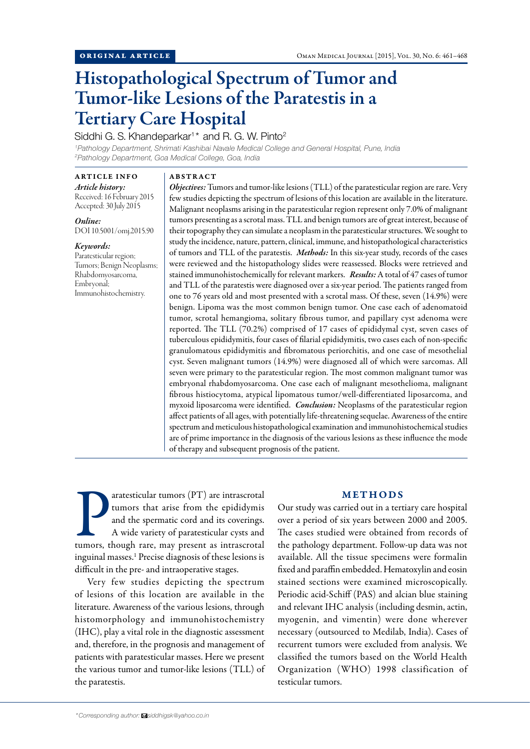# Histopathological Spectrum of Tumor and Tumor-like Lesions of the Paratestis in a Tertiary Care Hospital

# Siddhi G. S. Khandeparkar<sup>1\*</sup> and R. G. W. Pinto<sup>2</sup>

*1 Pathology Department, Shrimati Kashibai Navale Medical College and General Hospital, Pune, India 2 Pathology Department, Goa Medical College, Goa, India*

ARTICLE INFO *Article history:*  Received: 16 February 2015

Accepted: 30 July 2015 *Online:*

DOI 10.5001/omj.2015.90

## *Keywords:*

Paratesticular region; Tumors; Benign Neoplasms; Rhabdomyosarcoma, Embryonal; Immunohistochemistry.

#### ABSTRACT

*Objectives:* Tumors and tumor-like lesions (TLL) of the paratesticular region are rare. Very few studies depicting the spectrum of lesions of this location are available in the literature. Malignant neoplasms arising in the paratesticular region represent only 7.0% of malignant tumors presenting as a scrotal mass. TLL and benign tumors are of great interest, because of their topography they can simulate a neoplasm in the paratesticular structures. We sought to study the incidence, nature, pattern, clinical, immune, and histopathological characteristics of tumors and TLL of the paratestis. *Methods:* In this six-year study, records of the cases were reviewed and the histopathology slides were reassessed. Blocks were retrieved and stained immunohistochemically for relevant markers. *Results:* A total of 47 cases of tumor and TLL of the paratestis were diagnosed over a six-year period. The patients ranged from one to 76 years old and most presented with a scrotal mass. Of these, seven (14.9%) were benign. Lipoma was the most common benign tumor. One case each of adenomatoid tumor, scrotal hemangioma, solitary fibrous tumor, and papillary cyst adenoma were reported. The TLL (70.2%) comprised of 17 cases of epididymal cyst, seven cases of tuberculous epididymitis, four cases of filarial epididymitis, two cases each of non-specific granulomatous epididymitis and fibromatous periorchitis, and one case of mesothelial cyst. Seven malignant tumors (14.9%) were diagnosed all of which were sarcomas. All seven were primary to the paratesticular region. The most common malignant tumor was embryonal rhabdomyosarcoma. One case each of malignant mesothelioma, malignant fibrous histiocytoma, atypical lipomatous tumor/well-differentiated liposarcoma, and myxoid liposarcoma were identified. *Conclusion:* Neoplasms of the paratesticular region affect patients of all ages, with potentially life-threatening sequelae. Awareness of the entire spectrum and meticulous histopathological examination and immunohistochemical studies are of prime importance in the diagnosis of the various lesions as these influence the mode of therapy and subsequent prognosis of the patient.

The articular tumors (PT) are intrascrotal<br>tumors that arise from the epididymis<br>and the spermatic cord and its coverings.<br>A wide variety of paratesticular cysts and<br>tumors, though rare, may present as intrascrotal aratesticular tumors (PT) are intrascrotal tumors that arise from the epididymis and the spermatic cord and its coverings. A wide variety of paratesticular cysts and inguinal masses.<sup>1</sup> Precise diagnosis of these lesions is difficult in the pre- and intraoperative stages.

Very few studies depicting the spectrum of lesions of this location are available in the literature. Awareness of the various lesions, through histomorphology and immunohistochemistry (IHC), play a vital role in the diagnostic assessment and, therefore, in the prognosis and management of patients with paratesticular masses. Here we present the various tumor and tumor-like lesions (TLL) of the paratestis.

## METHODS

Our study was carried out in a tertiary care hospital over a period of six years between 2000 and 2005. The cases studied were obtained from records of the pathology department. Follow-up data was not available. All the tissue specimens were formalin fixed and paraffin embedded. Hematoxylin and eosin stained sections were examined microscopically. Periodic acid-Schiff (PAS) and alcian blue staining and relevant IHC analysis (including desmin, actin, myogenin, and vimentin) were done wherever necessary (outsourced to Medilab, India). Cases of recurrent tumors were excluded from analysis. We classified the tumors based on the World Health Organization (WHO) 1998 classification of testicular tumors.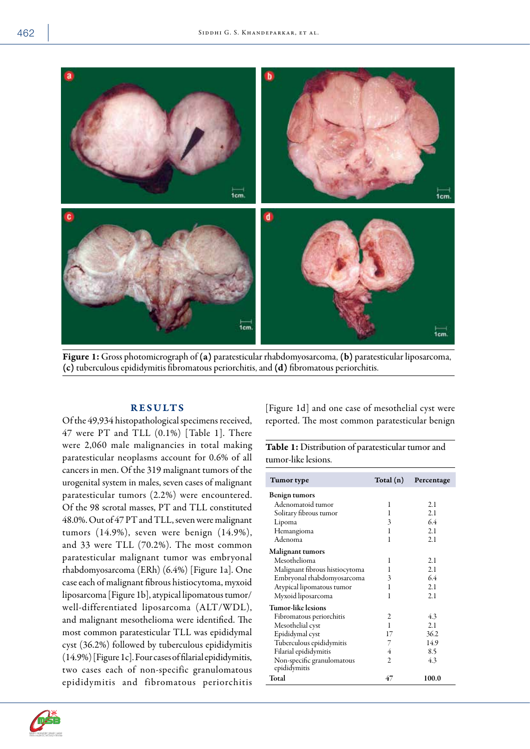

Figure 1: Gross photomicrograph of (a) paratesticular rhabdomyosarcoma, (b) paratesticular liposarcoma, (c) tuberculous epididymitis fibromatous periorchitis, and (d) fibromatous periorchitis.

## RESULTS

Of the 49,934 histopathological specimens received, 47 were PT and TLL (0.1%) [Table 1]. There were 2,060 male malignancies in total making paratesticular neoplasms account for 0.6% of all cancers in men. Of the 319 malignant tumors of the urogenital system in males, seven cases of malignant paratesticular tumors (2.2%) were encountered. Of the 98 scrotal masses, PT and TLL constituted 48.0%. Out of 47 PT and TLL, seven were malignant tumors (14.9%), seven were benign (14.9%), and 33 were TLL (70.2%). The most common paratesticular malignant tumor was embryonal rhabdomyosarcoma (ERh) (6.4%) [Figure 1a]. One case each of malignant fibrous histiocytoma, myxoid liposarcoma [Figure 1b], atypical lipomatous tumor/ well-differentiated liposarcoma (ALT/WDL), and malignant mesothelioma were identified. The most common paratesticular TLL was epididymal cyst (36.2%) followed by tuberculous epididymitis (14.9%) [Figure 1c]. Four cases of filarial epididymitis, two cases each of non-specific granulomatous epididymitis and fibromatous periorchitis

[Figure 1d] and one case of mesothelial cyst were reported. The most common paratesticular benign

| <b>Table 1:</b> Distribution of paratesticular tumor and |  |
|----------------------------------------------------------|--|
| tumor-like lesions.                                      |  |

| Tumor type                     | Total (n) | Percentage |
|--------------------------------|-----------|------------|
| <b>Benign tumors</b>           |           |            |
| Adenomatoid tumor              | 1         | 2.1        |
| Solitary fibrous tumor         | 1         | 2.1        |
| Lipoma                         | 3         | 6.4        |
| Hemangioma                     | 1         | 2.1        |
| Adenoma                        | 1         | 2.1        |
| <b>Malignant tumors</b>        |           |            |
| Mesothelioma                   | 1         | 2.1        |
| Malignant fibrous histiocytoma | 1         | 2.1        |
| Embryonal rhabdomyosarcoma     | 3         | 6.4        |
| Atypical lipomatous tumor      | 1         | 2.1        |
| Myxoid liposarcoma             | 1         | 2.1        |
| Tumor-like lesions             |           |            |
| Fibromatous periorchitis       | 2         | 4.3        |
| Mesothelial cyst               | 1         | 2.1        |
| Epididymal cyst                | 17        | 36.2       |
| Tuberculous epididymitis       | 7         | 14.9       |
| Filarial epididymitis          | 4         | 8.5        |
| Non-specific granulomatous     | 2         | 4.3        |
| epididymitis<br>Total          | 47        | 100.0      |

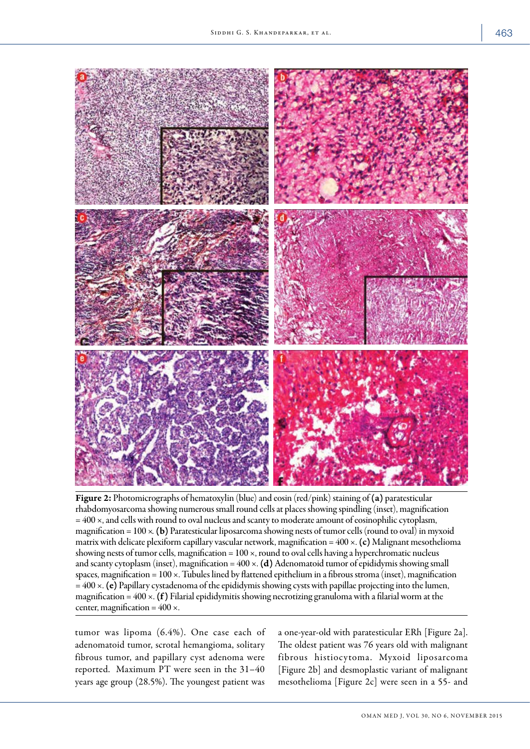

Figure 2: Photomicrographs of hematoxylin (blue) and eosin (red/pink) staining of (a) paratesticular rhabdomyosarcoma showing numerous small round cells at places showing spindling (inset), magnification = 400 ×, and cells with round to oval nucleus and scanty to moderate amount of eosinophilic cytoplasm, magnification =  $100 \times$ . (b) Paratesticular liposarcoma showing nests of tumor cells (round to oval) in myxoid matrix with delicate plexiform capillary vascular network, magnification =  $400 \times$ . (c) Malignant mesothelioma showing nests of tumor cells, magnification = 100 ×, round to oval cells having a hyperchromatic nucleus and scanty cytoplasm (inset), magnification =  $400 \times$ . (d) Adenomatoid tumor of epididymis showing small spaces, magnification = 100 ×. Tubules lined by flattened epithelium in a fibrous stroma (inset), magnification  $= 400 \times$ . (e) Papillary cystadenoma of the epididymis showing cysts with papillae projecting into the lumen, magnification =  $400 \times$ . (f) Filarial epididymitis showing necrotizing granuloma with a filarial worm at the center, magnification =  $400 \times$ .

tumor was lipoma (6.4%). One case each of adenomatoid tumor, scrotal hemangioma, solitary fibrous tumor, and papillary cyst adenoma were reported. Maximum PT were seen in the 31–40 years age group (28.5%). The youngest patient was

a one-year-old with paratesticular ERh [Figure 2a]. The oldest patient was 76 years old with malignant fibrous histiocytoma. Myxoid liposarcoma [Figure 2b] and desmoplastic variant of malignant mesothelioma [Figure 2c] were seen in a 55- and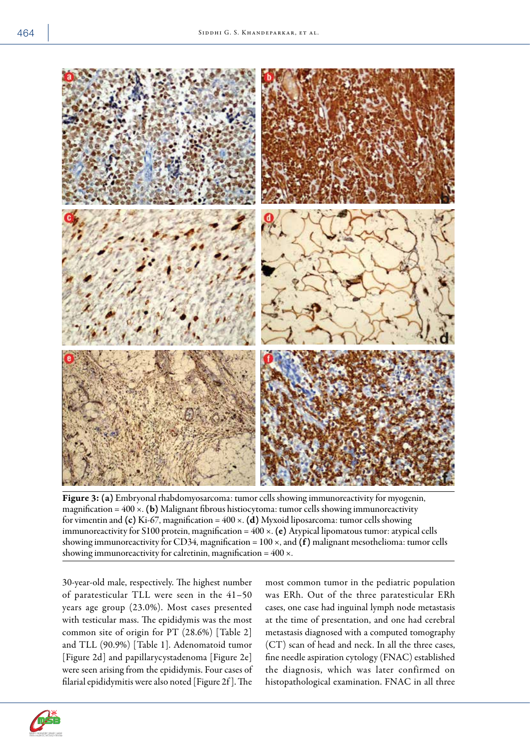

Figure 3:(a) Embryonal rhabdomyosarcoma: tumor cells showing immunoreactivity for myogenin, magnification =  $400 \times$ . (b) Malignant fibrous histiocytoma: tumor cells showing immunoreactivity for vimentin and (c) Ki-67, magnification =  $400 \times$ . (d) Myxoid liposarcoma: tumor cells showing immunoreactivity for S100 protein, magnification =  $400 \times$ . (e) Atypical lipomatous tumor: atypical cells showing immunoreactivity for CD34, magnification =  $100 \times$ , and (f) malignant mesothelioma: tumor cells showing immunoreactivity for calretinin, magnification =  $400 \times$ .

30-year-old male, respectively. The highest number of paratesticular TLL were seen in the 41–50 years age group (23.0%). Most cases presented with testicular mass. The epididymis was the most common site of origin for PT (28.6%) [Table 2] and TLL (90.9%) [Table 1]. Adenomatoid tumor [Figure 2d] and papillarycystadenoma [Figure 2e] were seen arising from the epididymis. Four cases of filarial epididymitis were also noted [Figure 2f ]. The

most common tumor in the pediatric population was ERh. Out of the three paratesticular ERh cases, one case had inguinal lymph node metastasis at the time of presentation, and one had cerebral metastasis diagnosed with a computed tomography (CT) scan of head and neck. In all the three cases, fine needle aspiration cytology (FNAC) established the diagnosis, which was later confirmed on histopathological examination. FNAC in all three

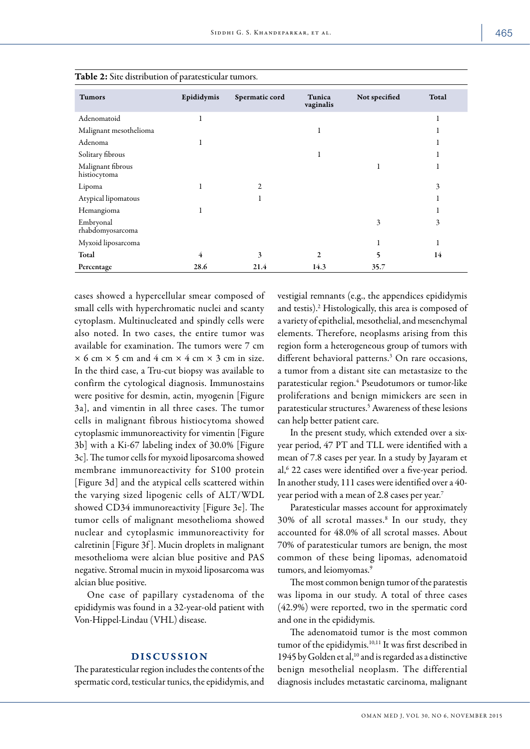| <b>Tumors</b>                     | Epididymis | Spermatic cord | Tunica<br>vaginalis | Not specified | Total |
|-----------------------------------|------------|----------------|---------------------|---------------|-------|
| Adenomatoid                       | 1          |                |                     |               | ı     |
| Malignant mesothelioma            |            |                | 1                   |               |       |
| Adenoma                           |            |                |                     |               |       |
| Solitary fibrous                  |            |                | -1                  |               |       |
| Malignant fibrous<br>histiocytoma |            |                |                     |               |       |
| Lipoma                            |            | $\overline{c}$ |                     |               | 3     |
| Atypical lipomatous               |            |                |                     |               |       |
| Hemangioma                        |            |                |                     |               |       |
| Embryonal<br>rhabdomyosarcoma     |            |                |                     | 3             | 3     |
| Myxoid liposarcoma                |            |                |                     |               |       |
| Total                             | 4          | 3              | $\overline{c}$      | 5             | 14    |
| Percentage                        | 28.6       | 21.4           | 14.3                | 35.7          |       |

Table 2: Site distribution of paratesticular tumors.

cases showed a hypercellular smear composed of small cells with hyperchromatic nuclei and scanty cytoplasm. Multinucleated and spindly cells were also noted. In two cases, the entire tumor was available for examination. The tumors were 7 cm  $\times$  6 cm  $\times$  5 cm and 4 cm  $\times$  4 cm  $\times$  3 cm in size. In the third case, a Tru-cut biopsy was available to confirm the cytological diagnosis. Immunostains were positive for desmin, actin, myogenin [Figure 3a], and vimentin in all three cases. The tumor cells in malignant fibrous histiocytoma showed cytoplasmic immunoreactivity for vimentin [Figure 3b] with a Ki-67 labeling index of 30.0% [Figure 3c]. The tumor cells for myxoid liposarcoma showed membrane immunoreactivity for S100 protein [Figure 3d] and the atypical cells scattered within the varying sized lipogenic cells of ALT/WDL showed CD34 immunoreactivity [Figure 3e]. The tumor cells of malignant mesothelioma showed nuclear and cytoplasmic immunoreactivity for calretinin [Figure 3f ]. Mucin droplets in malignant mesothelioma were alcian blue positive and PAS negative. Stromal mucin in myxoid liposarcoma was alcian blue positive.

One case of papillary cystadenoma of the epididymis was found in a 32-year-old patient with Von-Hippel-Lindau (VHL) disease.

## DISCUSSION

The paratesticular region includes the contents of the spermatic cord, testicular tunics, the epididymis, and vestigial remnants (e.g., the appendices epididymis and testis).2 Histologically, this area is composed of a variety of epithelial, mesothelial, and mesenchymal elements. Therefore, neoplasms arising from this region form a heterogeneous group of tumors with different behavioral patterns.<sup>3</sup> On rare occasions, a tumor from a distant site can metastasize to the paratesticular region.<sup>4</sup> Pseudotumors or tumor-like proliferations and benign mimickers are seen in paratesticular structures.5 Awareness of these lesions can help better patient care.

In the present study, which extended over a sixyear period, 47 PT and TLL were identified with a mean of 7.8 cases per year. In a study by Jayaram et al,<sup>6</sup> 22 cases were identified over a five-year period. In another study, 111 cases were identified over a 40 year period with a mean of 2.8 cases per year.7

Paratesticular masses account for approximately 30% of all scrotal masses.8 In our study, they accounted for 48.0% of all scrotal masses. About 70% of paratesticular tumors are benign, the most common of these being lipomas, adenomatoid tumors, and leiomyomas.<sup>9</sup>

The most common benign tumor of the paratestis was lipoma in our study. A total of three cases (42.9%) were reported, two in the spermatic cord and one in the epididymis.

The adenomatoid tumor is the most common tumor of the epididymis.<sup>10,11</sup> It was first described in 1945 by Golden et al,10 and is regarded as a distinctive benign mesothelial neoplasm. The differential diagnosis includes metastatic carcinoma, malignant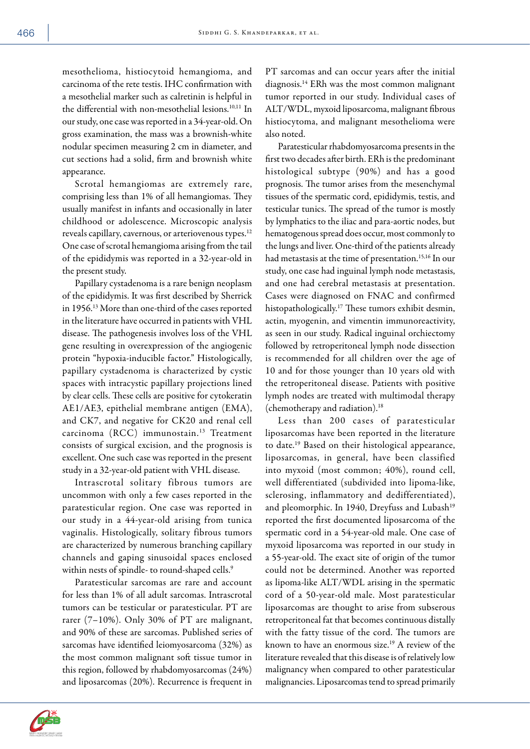mesothelioma, histiocytoid hemangioma, and carcinoma of the rete testis. IHC confirmation with a mesothelial marker such as calretinin is helpful in the differential with non-mesothelial lesions.<sup>10,11</sup> In our study, one case was reported in a 34-year-old. On gross examination, the mass was a brownish-white nodular specimen measuring 2 cm in diameter, and cut sections had a solid, firm and brownish white appearance.

Scrotal hemangiomas are extremely rare, comprising less than 1% of all hemangiomas. They usually manifest in infants and occasionally in later childhood or adolescence. Microscopic analysis reveals capillary, cavernous, or arteriovenous types.12 One case of scrotal hemangioma arising from the tail of the epididymis was reported in a 32-year-old in the present study.

Papillary cystadenoma is a rare benign neoplasm of the epididymis. It was first described by Sherrick in 1956.13 More than one-third of the cases reported in the literature have occurred in patients with VHL disease. The pathogenesis involves loss of the VHL gene resulting in overexpression of the angiogenic protein "hypoxia-inducible factor." Histologically, papillary cystadenoma is characterized by cystic spaces with intracystic papillary projections lined by clear cells. These cells are positive for cytokeratin AE1/AE3, epithelial membrane antigen (EMA), and CK7, and negative for CK20 and renal cell carcinoma (RCC) immunostain.13 Treatment consists of surgical excision, and the prognosis is excellent. One such case was reported in the present study in a 32-year-old patient with VHL disease.

Intrascrotal solitary fibrous tumors are uncommon with only a few cases reported in the paratesticular region. One case was reported in our study in a 44-year-old arising from tunica vaginalis. Histologically, solitary fibrous tumors are characterized by numerous branching capillary channels and gaping sinusoidal spaces enclosed within nests of spindle- to round-shaped cells.<sup>9</sup>

Paratesticular sarcomas are rare and account for less than 1% of all adult sarcomas. Intrascrotal tumors can be testicular or paratesticular. PT are rarer (7–10%). Only 30% of PT are malignant, and 90% of these are sarcomas. Published series of sarcomas have identified leiomyosarcoma (32%) as the most common malignant soft tissue tumor in this region, followed by rhabdomyosarcomas (24%) and liposarcomas (20%). Recurrence is frequent in

PT sarcomas and can occur years after the initial diagnosis.14 ERh was the most common malignant tumor reported in our study. Individual cases of ALT/WDL, myxoid liposarcoma, malignant fibrous histiocytoma, and malignant mesothelioma were also noted.

Paratesticular rhabdomyosarcoma presents in the first two decades after birth. ERh is the predominant histological subtype (90%) and has a good prognosis. The tumor arises from the mesenchymal tissues of the spermatic cord, epididymis, testis, and testicular tunics. The spread of the tumor is mostly by lymphatics to the iliac and para-aortic nodes, but hematogenous spread does occur, most commonly to the lungs and liver. One-third of the patients already had metastasis at the time of presentation.<sup>15,16</sup> In our study, one case had inguinal lymph node metastasis, and one had cerebral metastasis at presentation. Cases were diagnosed on FNAC and confirmed histopathologically.17 These tumors exhibit desmin, actin, myogenin, and vimentin immunoreactivity, as seen in our study. Radical inguinal orchiectomy followed by retroperitoneal lymph node dissection is recommended for all children over the age of 10 and for those younger than 10 years old with the retroperitoneal disease. Patients with positive lymph nodes are treated with multimodal therapy (chemotherapy and radiation).18

Less than 200 cases of paratesticular liposarcomas have been reported in the literature to date.19 Based on their histological appearance, liposarcomas, in general, have been classified into myxoid (most common; 40%), round cell, well differentiated (subdivided into lipoma-like, sclerosing, inflammatory and dedifferentiated), and pleomorphic. In 1940, Dreyfuss and Lubash<sup>19</sup> reported the first documented liposarcoma of the spermatic cord in a 54-year-old male. One case of myxoid liposarcoma was reported in our study in a 55-year-old. The exact site of origin of the tumor could not be determined. Another was reported as lipoma-like ALT/WDL arising in the spermatic cord of a 50-year-old male. Most paratesticular liposarcomas are thought to arise from subserous retroperitoneal fat that becomes continuous distally with the fatty tissue of the cord. The tumors are known to have an enormous size.19 A review of the literature revealed that this disease is of relatively low malignancy when compared to other paratesticular malignancies. Liposarcomas tend to spread primarily

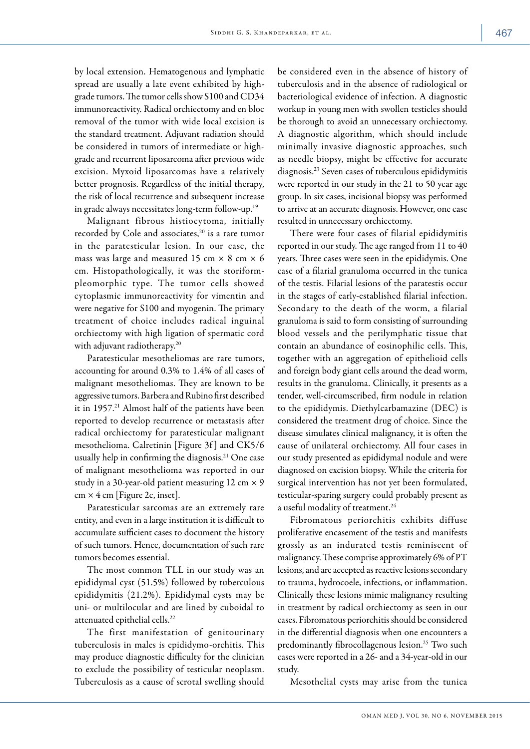by local extension. Hematogenous and lymphatic spread are usually a late event exhibited by highgrade tumors. The tumor cells show S100 and CD34 immunoreactivity. Radical orchiectomy and en bloc removal of the tumor with wide local excision is the standard treatment. Adjuvant radiation should be considered in tumors of intermediate or highgrade and recurrent liposarcoma after previous wide excision. Myxoid liposarcomas have a relatively better prognosis. Regardless of the initial therapy, the risk of local recurrence and subsequent increase in grade always necessitates long-term follow-up.19

Malignant fibrous histiocytoma, initially recorded by Cole and associates,<sup>20</sup> is a rare tumor in the paratesticular lesion. In our case, the mass was large and measured 15 cm  $\times$  8 cm  $\times$  6 cm. Histopathologically, it was the storiformpleomorphic type. The tumor cells showed cytoplasmic immunoreactivity for vimentin and were negative for S100 and myogenin. The primary treatment of choice includes radical inguinal orchiectomy with high ligation of spermatic cord with adjuvant radiotherapy.<sup>20</sup>

Paratesticular mesotheliomas are rare tumors, accounting for around 0.3% to 1.4% of all cases of malignant mesotheliomas. They are known to be aggressive tumors. Barbera and Rubino first described it in 1957.<sup>21</sup> Almost half of the patients have been reported to develop recurrence or metastasis after radical orchiectomy for paratesticular malignant mesothelioma. Calretinin [Figure 3f ] and CK5/6 usually help in confirming the diagnosis.<sup>21</sup> One case of malignant mesothelioma was reported in our study in a 30-year-old patient measuring 12 cm  $\times$  9 cm  $\times$  4 cm [Figure 2c, inset].

Paratesticular sarcomas are an extremely rare entity, and even in a large institution it is difficult to accumulate sufficient cases to document the history of such tumors. Hence, documentation of such rare tumors becomes essential.

The most common TLL in our study was an epididymal cyst (51.5%) followed by tuberculous epididymitis (21.2%). Epididymal cysts may be uni- or multilocular and are lined by cuboidal to attenuated epithelial cells.22

The first manifestation of genitourinary tuberculosis in males is epididymo-orchitis. This may produce diagnostic difficulty for the clinician to exclude the possibility of testicular neoplasm. Tuberculosis as a cause of scrotal swelling should be considered even in the absence of history of tuberculosis and in the absence of radiological or bacteriological evidence of infection. A diagnostic workup in young men with swollen testicles should be thorough to avoid an unnecessary orchiectomy. A diagnostic algorithm, which should include minimally invasive diagnostic approaches, such as needle biopsy, might be effective for accurate diagnosis.23 Seven cases of tuberculous epididymitis were reported in our study in the 21 to 50 year age group. In six cases, incisional biopsy was performed to arrive at an accurate diagnosis. However, one case resulted in unnecessary orchiectomy.

There were four cases of filarial epididymitis reported in our study. The age ranged from 11 to 40 years. Three cases were seen in the epididymis. One case of a filarial granuloma occurred in the tunica of the testis. Filarial lesions of the paratestis occur in the stages of early-established filarial infection. Secondary to the death of the worm, a filarial granuloma is said to form consisting of surrounding blood vessels and the perilymphatic tissue that contain an abundance of eosinophilic cells. This, together with an aggregation of epithelioid cells and foreign body giant cells around the dead worm, results in the granuloma. Clinically, it presents as a tender, well-circumscribed, firm nodule in relation to the epididymis. Diethylcarbamazine (DEC) is considered the treatment drug of choice. Since the disease simulates clinical malignancy, it is often the cause of unilateral orchiectomy. All four cases in our study presented as epididymal nodule and were diagnosed on excision biopsy. While the criteria for surgical intervention has not yet been formulated, testicular-sparing surgery could probably present as a useful modality of treatment.<sup>24</sup>

Fibromatous periorchitis exhibits diffuse proliferative encasement of the testis and manifests grossly as an indurated testis reminiscent of malignancy. These comprise approximately 6% of PT lesions, and are accepted as reactive lesions secondary to trauma, hydrocoele, infections, or inflammation. Clinically these lesions mimic malignancy resulting in treatment by radical orchiectomy as seen in our cases. Fibromatous periorchitis should be considered in the differential diagnosis when one encounters a predominantly fibrocollagenous lesion.25 Two such cases were reported in a 26- and a 34-year-old in our study.

Mesothelial cysts may arise from the tunica